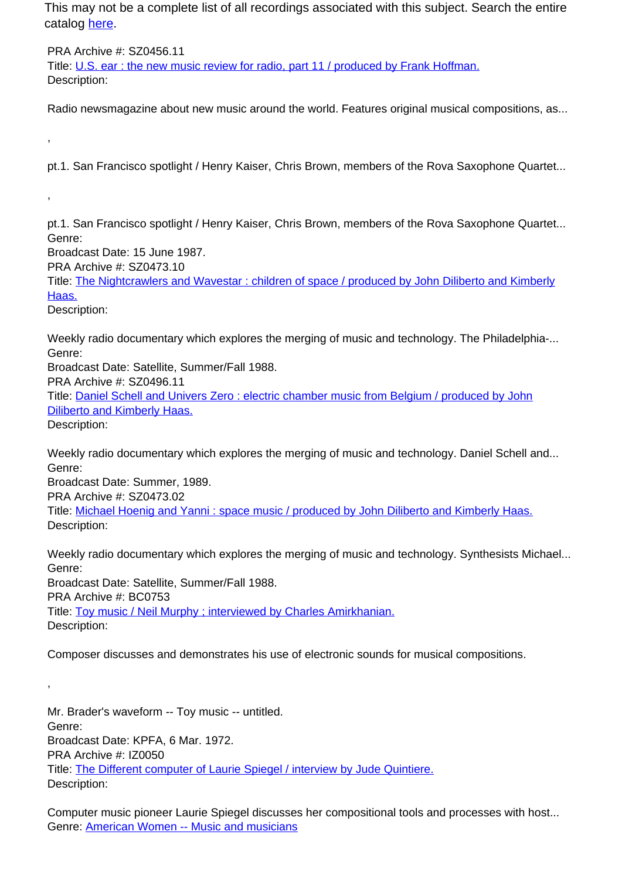PRA Archive #: SZ0456.11 Title: U.S. ear : the new music review for radio, part 11 / produced by Frank Hoffman. Description:

Radio newsmagazine about new music around the world. Features original musical compositions, as...

pt.1. San Francisco spotlight / Henry Kaiser, Chris Brown, members of the Rova Saxophone Quartet...

pt.1. San Francisco spotlight / Henry Kaiser, Chris Brown, members of the Rova Saxophone Quartet... Genre:

Broadcast Date: 15 June 1987.

PRA Archive #: SZ0473.10

Title: The Nightcrawlers and Wavestar : children of space / produced by John Diliberto and Kimberly Haas.

Description:

,

,

Weekly radio documentary which explores the merging of music and technology. The Philadelphia-... Genre:

Broadcast Date: Satellite, Summer/Fall 1988.

PRA Archive #: SZ0496.11

Title: Daniel Schell and Univers Zero : electric chamber music from Belgium / produced by John Diliberto and Kimberly Haas.

Description:

,

Weekly radio documentary which explores the merging of music and technology. Daniel Schell and... Genre:

Broadcast Date: Summer, 1989.

PRA Archive #: SZ0473.02

Title: Michael Hoenig and Yanni : space music / produced by John Diliberto and Kimberly Haas. Description:

Weekly radio documentary which explores the merging of music and technology. Synthesists Michael... Genre:

Broadcast Date: Satellite, Summer/Fall 1988. PRA Archive #: BC0753 Title: Toy music / Neil Murphy ; interviewed by Charles Amirkhanian. Description:

Composer discusses and demonstrates his use of electronic sounds for musical compositions.

Mr. Brader's waveform -- Toy music -- untitled. Genre: Broadcast Date: KPFA, 6 Mar. 1972. PRA Archive #: IZ0050 Title: The Different computer of Laurie Spiegel / interview by Jude Quintiere. Description:

Computer music pioneer Laurie Spiegel discusses her compositional tools and processes with host... Genre: American Women -- Music and musicians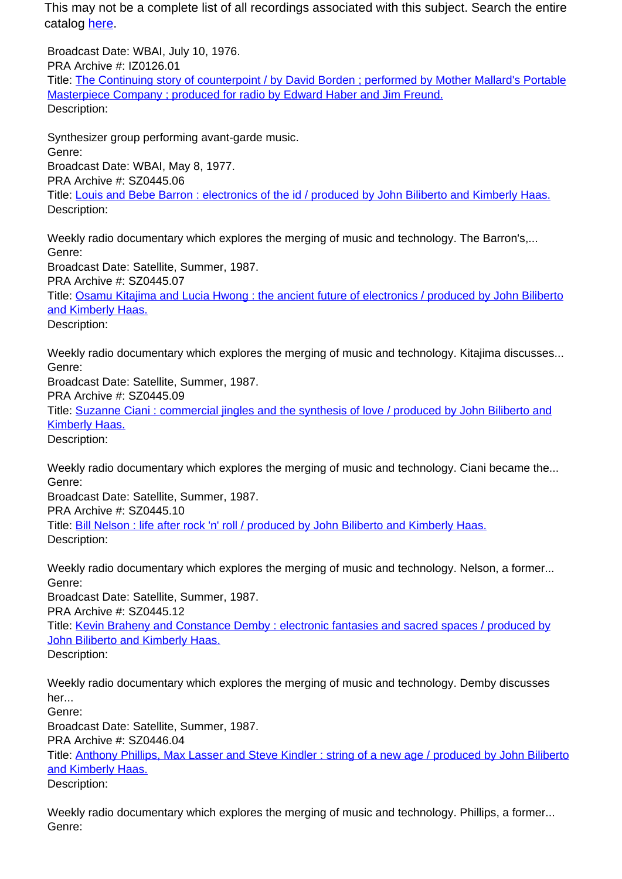Broadcast Date: WBAI, July 10, 1976. PRA Archive #: IZ0126.01 Title: The Continuing story of counterpoint / by David Borden ; performed by Mother Mallard's Portable Masterpiece Company ; produced for radio by Edward Haber and Jim Freund. Description:

Synthesizer group performing avant-garde music. Genre: Broadcast Date: WBAI, May 8, 1977. PRA Archive #: SZ0445.06 Title: Louis and Bebe Barron : electronics of the id / produced by John Biliberto and Kimberly Haas. Description:

Weekly radio documentary which explores the merging of music and technology. The Barron's,... Genre: Broadcast Date: Satellite, Summer, 1987. PRA Archive #: SZ0445.07 Title: Osamu Kitajima and Lucia Hwong : the ancient future of electronics / produced by John Biliberto and Kimberly Haas. Description:

Weekly radio documentary which explores the merging of music and technology. Kitajima discusses... Genre:

Broadcast Date: Satellite, Summer, 1987. PRA Archive #: SZ0445.09

Title: Suzanne Ciani : commercial jingles and the synthesis of love / produced by John Biliberto and Kimberly Haas.

Description:

Weekly radio documentary which explores the merging of music and technology. Ciani became the... Genre:

Broadcast Date: Satellite, Summer, 1987.

PRA Archive #: SZ0445.10

Title: Bill Nelson : life after rock 'n' roll / produced by John Biliberto and Kimberly Haas. Description:

Weekly radio documentary which explores the merging of music and technology. Nelson, a former... Genre: Broadcast Date: Satellite, Summer, 1987. PRA Archive #: SZ0445.12 Title: Kevin Braheny and Constance Demby : electronic fantasies and sacred spaces / produced by

John Biliberto and Kimberly Haas.

Description:

Weekly radio documentary which explores the merging of music and technology. Demby discusses her...

Genre:

Broadcast Date: Satellite, Summer, 1987.

PRA Archive #: SZ0446.04

Title: Anthony Phillips, Max Lasser and Steve Kindler : string of a new age / produced by John Biliberto and Kimberly Haas.

Description:

Weekly radio documentary which explores the merging of music and technology. Phillips, a former... Genre: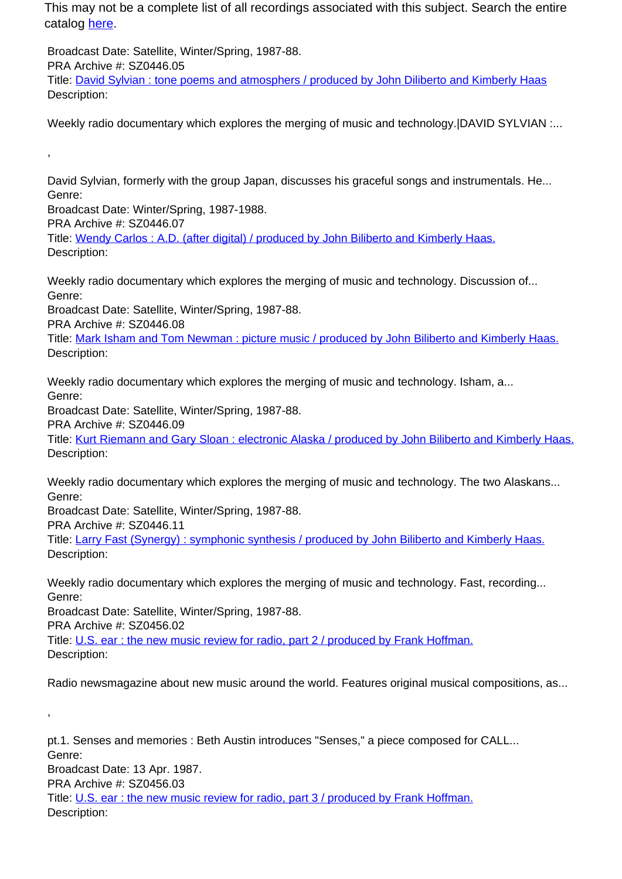Broadcast Date: Satellite, Winter/Spring, 1987-88. PRA Archive #: SZ0446.05 Title: David Sylvian : tone poems and atmosphers / produced by John Diliberto and Kimberly Haas Description:

Weekly radio documentary which explores the merging of music and technology. DAVID SYLVIAN :...

David Sylvian, formerly with the group Japan, discusses his graceful songs and instrumentals. He... Genre:

Broadcast Date: Winter/Spring, 1987-1988.

PRA Archive #: SZ0446.07

,

Title: Wendy Carlos : A.D. (after digital) / produced by John Biliberto and Kimberly Haas. Description:

Weekly radio documentary which explores the merging of music and technology. Discussion of... Genre:

Broadcast Date: Satellite, Winter/Spring, 1987-88.

PRA Archive #: SZ0446.08

Title: Mark Isham and Tom Newman : picture music / produced by John Biliberto and Kimberly Haas. Description:

Weekly radio documentary which explores the merging of music and technology. Isham, a... Genre:

Broadcast Date: Satellite, Winter/Spring, 1987-88.

PRA Archive #: SZ0446.09

Title: Kurt Riemann and Gary Sloan : electronic Alaska / produced by John Biliberto and Kimberly Haas. Description:

Weekly radio documentary which explores the merging of music and technology. The two Alaskans... Genre:

Broadcast Date: Satellite, Winter/Spring, 1987-88. PRA Archive #: SZ0446.11

Title: Larry Fast (Synergy): symphonic synthesis / produced by John Biliberto and Kimberly Haas.

Description:

Weekly radio documentary which explores the merging of music and technology. Fast, recording... Genre: Broadcast Date: Satellite, Winter/Spring, 1987-88. PRA Archive #: SZ0456.02 Title: U.S. ear : the new music review for radio, part 2 / produced by Frank Hoffman.

Description:

,

Radio newsmagazine about new music around the world. Features original musical compositions, as...

pt.1. Senses and memories : Beth Austin introduces "Senses," a piece composed for CALL... Genre: Broadcast Date: 13 Apr. 1987. PRA Archive #: SZ0456.03 Title: U.S. ear : the new music review for radio, part 3 / produced by Frank Hoffman. Description: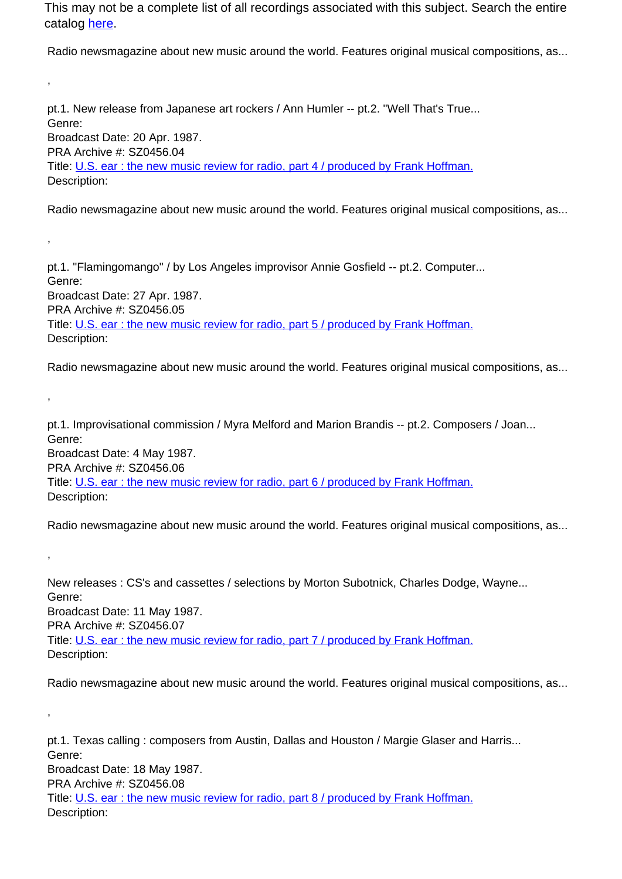Radio newsmagazine about new music around the world. Features original musical compositions, as...

pt.1. New release from Japanese art rockers / Ann Humler -- pt.2. "Well That's True... Genre: Broadcast Date: 20 Apr. 1987. PRA Archive #: SZ0456.04 Title: U.S. ear : the new music review for radio, part 4 / produced by Frank Hoffman. Description:

,

,

,

,

,

Radio newsmagazine about new music around the world. Features original musical compositions, as...

pt.1. "Flamingomango" / by Los Angeles improvisor Annie Gosfield -- pt.2. Computer... Genre: Broadcast Date: 27 Apr. 1987. PRA Archive #: SZ0456.05 Title: U.S. ear : the new music review for radio, part 5 / produced by Frank Hoffman. Description:

Radio newsmagazine about new music around the world. Features original musical compositions, as...

pt.1. Improvisational commission / Myra Melford and Marion Brandis -- pt.2. Composers / Joan... Genre: Broadcast Date: 4 May 1987. PRA Archive #: SZ0456.06 Title: U.S. ear : the new music review for radio, part 6 / produced by Frank Hoffman. Description:

Radio newsmagazine about new music around the world. Features original musical compositions, as...

New releases : CS's and cassettes / selections by Morton Subotnick, Charles Dodge, Wayne... Genre: Broadcast Date: 11 May 1987. PRA Archive #: SZ0456.07 Title: U.S. ear : the new music review for radio, part 7 / produced by Frank Hoffman. Description:

Radio newsmagazine about new music around the world. Features original musical compositions, as...

pt.1. Texas calling : composers from Austin, Dallas and Houston / Margie Glaser and Harris... Genre: Broadcast Date: 18 May 1987. PRA Archive #: SZ0456.08 Title: U.S. ear : the new music review for radio, part 8 / produced by Frank Hoffman. Description: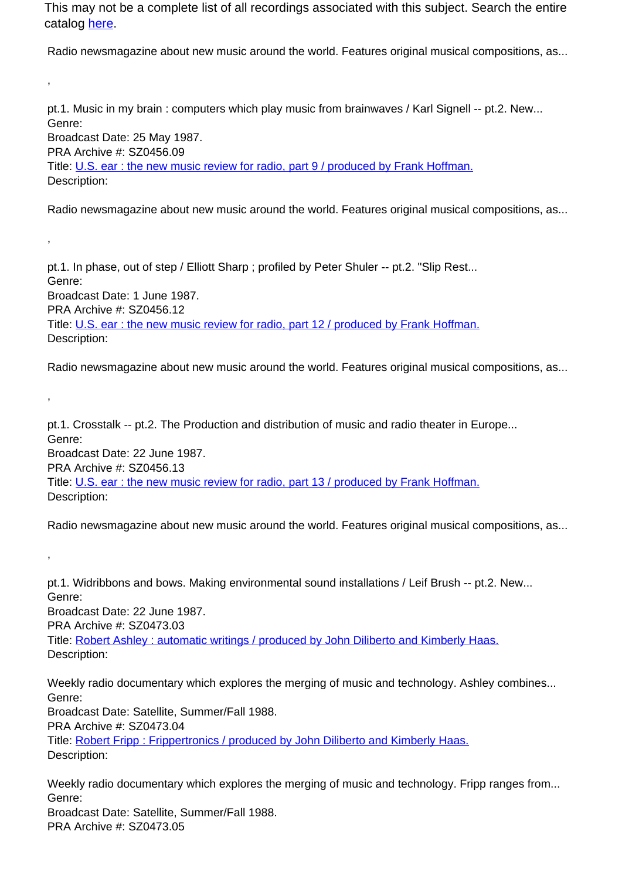Radio newsmagazine about new music around the world. Features original musical compositions, as...

pt.1. Music in my brain : computers which play music from brainwaves / Karl Signell -- pt.2. New... Genre: Broadcast Date: 25 May 1987. PRA Archive #: SZ0456.09 Title: U.S. ear : the new music review for radio, part 9 / produced by Frank Hoffman. Description:

,

,

,

,

Radio newsmagazine about new music around the world. Features original musical compositions, as...

pt.1. In phase, out of step / Elliott Sharp ; profiled by Peter Shuler -- pt.2. "Slip Rest... Genre: Broadcast Date: 1 June 1987. PRA Archive #: SZ0456.12 Title: U.S. ear : the new music review for radio, part 12 / produced by Frank Hoffman. Description:

Radio newsmagazine about new music around the world. Features original musical compositions, as...

pt.1. Crosstalk -- pt.2. The Production and distribution of music and radio theater in Europe... Genre: Broadcast Date: 22 June 1987. PRA Archive #: SZ0456.13 Title: U.S. ear : the new music review for radio, part 13 / produced by Frank Hoffman. Description:

Radio newsmagazine about new music around the world. Features original musical compositions, as...

pt.1. Widribbons and bows. Making environmental sound installations / Leif Brush -- pt.2. New... Genre: Broadcast Date: 22 June 1987. PRA Archive #: SZ0473.03 Title: Robert Ashley : automatic writings / produced by John Diliberto and Kimberly Haas. Description:

Weekly radio documentary which explores the merging of music and technology. Ashley combines... Genre:

Broadcast Date: Satellite, Summer/Fall 1988. PRA Archive #: SZ0473.04 Title: Robert Fripp : Frippertronics / produced by John Diliberto and Kimberly Haas. Description:

Weekly radio documentary which explores the merging of music and technology. Fripp ranges from... Genre: Broadcast Date: Satellite, Summer/Fall 1988. PRA Archive #: SZ0473.05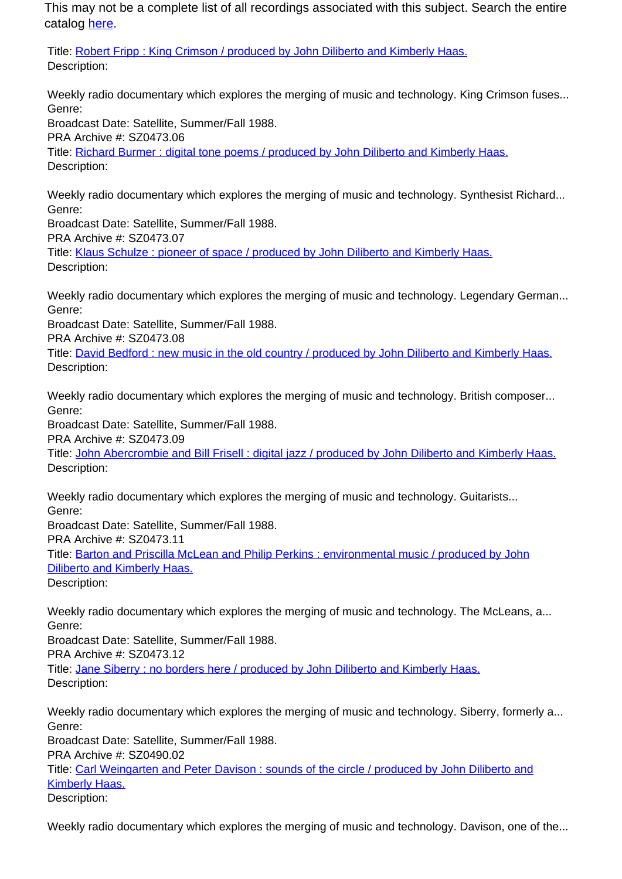Title: Robert Fripp : King Crimson / produced by John Diliberto and Kimberly Haas. Description:

Weekly radio documentary which explores the merging of music and technology. King Crimson fuses... Genre:

Broadcast Date: Satellite, Summer/Fall 1988. PRA Archive #: SZ0473.06 Title: Richard Burmer : digital tone poems / produced by John Diliberto and Kimberly Haas. Description:

Weekly radio documentary which explores the merging of music and technology. Synthesist Richard... Genre:

Broadcast Date: Satellite, Summer/Fall 1988.

PRA Archive #: SZ0473.07

Title: Klaus Schulze : pioneer of space / produced by John Diliberto and Kimberly Haas. Description:

Weekly radio documentary which explores the merging of music and technology. Legendary German... Genre:

Broadcast Date: Satellite, Summer/Fall 1988.

PRA Archive #: SZ0473.08

Title: David Bedford : new music in the old country / produced by John Diliberto and Kimberly Haas. Description:

Weekly radio documentary which explores the merging of music and technology. British composer... Genre:

Broadcast Date: Satellite, Summer/Fall 1988.

PRA Archive #: SZ0473.09

Title: John Abercrombie and Bill Frisell : digital jazz / produced by John Diliberto and Kimberly Haas. Description:

Weekly radio documentary which explores the merging of music and technology. Guitarists... Genre:

Broadcast Date: Satellite, Summer/Fall 1988.

PRA Archive #: SZ0473.11

Title: Barton and Priscilla McLean and Philip Perkins : environmental music / produced by John Diliberto and Kimberly Haas.

Description:

Weekly radio documentary which explores the merging of music and technology. The McLeans, a... Genre:

Broadcast Date: Satellite, Summer/Fall 1988.

PRA Archive #: SZ0473.12

Title: Jane Siberry : no borders here / produced by John Diliberto and Kimberly Haas. Description:

Weekly radio documentary which explores the merging of music and technology. Siberry, formerly a... Genre: Broadcast Date: Satellite, Summer/Fall 1988. PRA Archive #: SZ0490.02 Title: Carl Weingarten and Peter Davison: sounds of the circle / produced by John Diliberto and Kimberly Haas. Description:

Weekly radio documentary which explores the merging of music and technology. Davison, one of the...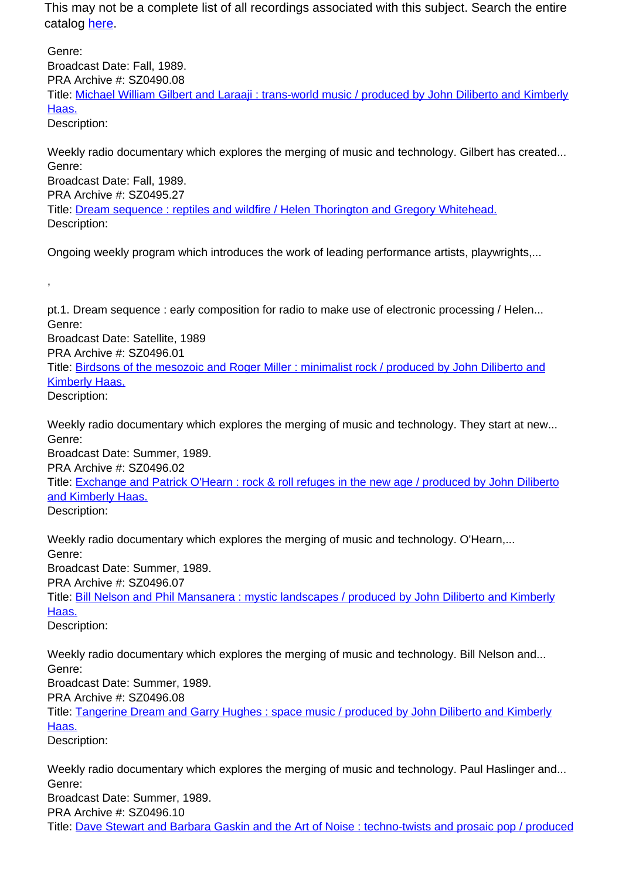Genre: Broadcast Date: Fall, 1989. PRA Archive #: SZ0490.08 Title: Michael William Gilbert and Laraaji: trans-world music / produced by John Diliberto and Kimberly Haas. Description:

Weekly radio documentary which explores the merging of music and technology. Gilbert has created... Genre: Broadcast Date: Fall, 1989. PRA Archive #: SZ0495.27 Title: Dream sequence : reptiles and wildfire / Helen Thorington and Gregory Whitehead. Description:

Ongoing weekly program which introduces the work of leading performance artists, playwrights,...

pt.1. Dream sequence : early composition for radio to make use of electronic processing / Helen... Genre: Broadcast Date: Satellite, 1989 PRA Archive #: SZ0496.01 Title: Birdsons of the mesozoic and Roger Miller : minimalist rock / produced by John Diliberto and Kimberly Haas. Description:

Weekly radio documentary which explores the merging of music and technology. They start at new... Genre: Broadcast Date: Summer, 1989.

PRA Archive #: SZ0496.02 Title: Exchange and Patrick O'Hearn : rock & roll refuges in the new age / produced by John Diliberto and Kimberly Haas. Description:

Weekly radio documentary which explores the merging of music and technology. O'Hearn,... Genre: Broadcast Date: Summer, 1989. PRA Archive #: SZ0496.07 Title: Bill Nelson and Phil Mansanera : mystic landscapes / produced by John Diliberto and Kimberly Haas.

Description:

,

Weekly radio documentary which explores the merging of music and technology. Bill Nelson and... Genre: Broadcast Date: Summer, 1989.

PRA Archive #: SZ0496.08

Title: Tangerine Dream and Garry Hughes : space music / produced by John Diliberto and Kimberly Haas.

Description:

Weekly radio documentary which explores the merging of music and technology. Paul Haslinger and... Genre: Broadcast Date: Summer, 1989. PRA Archive #: SZ0496.10 Title: Dave Stewart and Barbara Gaskin and the Art of Noise : techno-twists and prosaic pop / produced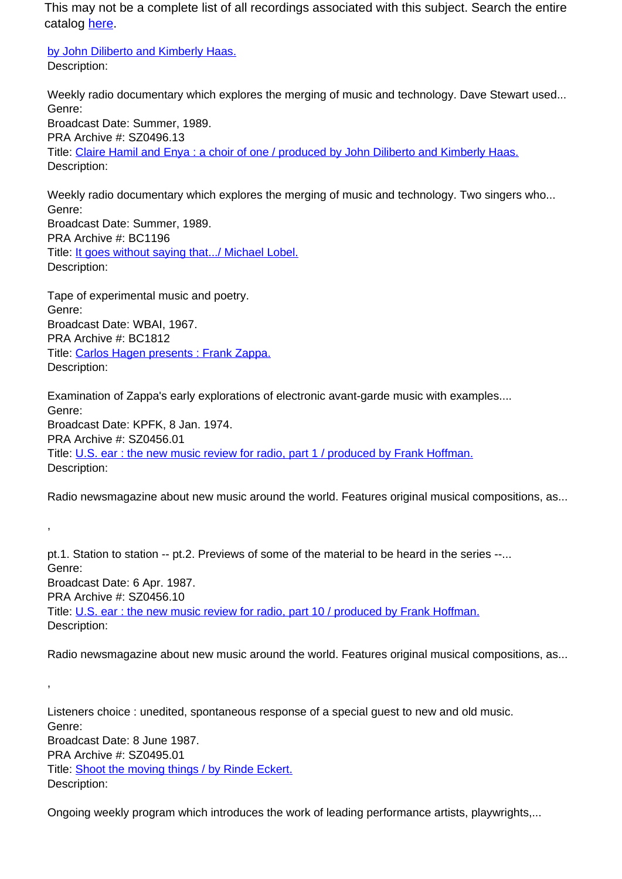by John Diliberto and Kimberly Haas. Description:

Weekly radio documentary which explores the merging of music and technology. Dave Stewart used... Genre: Broadcast Date: Summer, 1989.

PRA Archive #: SZ0496.13 Title: Claire Hamil and Enya : a choir of one / produced by John Diliberto and Kimberly Haas. Description:

Weekly radio documentary which explores the merging of music and technology. Two singers who... Genre: Broadcast Date: Summer, 1989. PRA Archive #: BC1196 Title: It goes without saying that.../ Michael Lobel. Description:

Tape of experimental music and poetry. Genre: Broadcast Date: WBAI, 1967. PRA Archive #: BC1812 Title: Carlos Hagen presents : Frank Zappa. Description:

,

,

Examination of Zappa's early explorations of electronic avant-garde music with examples.... Genre: Broadcast Date: KPFK, 8 Jan. 1974. PRA Archive #: SZ0456.01 Title: U.S. ear : the new music review for radio, part 1 / produced by Frank Hoffman. Description:

Radio newsmagazine about new music around the world. Features original musical compositions, as...

pt.1. Station to station -- pt.2. Previews of some of the material to be heard in the series --... Genre: Broadcast Date: 6 Apr. 1987. PRA Archive #: SZ0456.10 Title: U.S. ear : the new music review for radio, part 10 / produced by Frank Hoffman. Description:

Radio newsmagazine about new music around the world. Features original musical compositions, as...

Listeners choice : unedited, spontaneous response of a special guest to new and old music. Genre: Broadcast Date: 8 June 1987. PRA Archive #: SZ0495.01 Title: Shoot the moving things / by Rinde Eckert. Description:

Ongoing weekly program which introduces the work of leading performance artists, playwrights,...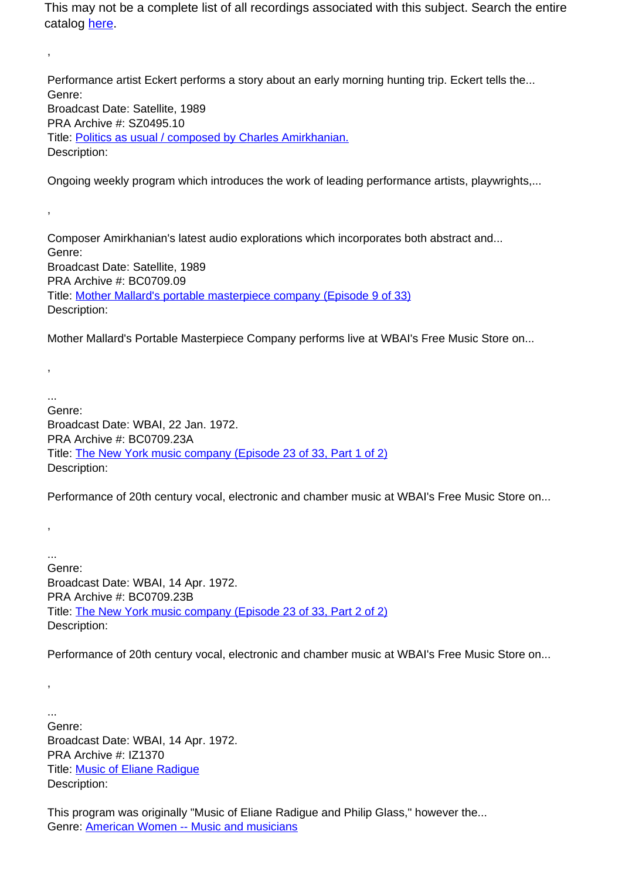Performance artist Eckert performs a story about an early morning hunting trip. Eckert tells the... Genre: Broadcast Date: Satellite, 1989 PRA Archive #: SZ0495.10 Title: Politics as usual / composed by Charles Amirkhanian. Description:

Ongoing weekly program which introduces the work of leading performance artists, playwrights,...

Composer Amirkhanian's latest audio explorations which incorporates both abstract and... Genre: Broadcast Date: Satellite, 1989 PRA Archive #: BC0709.09 Title: Mother Mallard's portable masterpiece company (Episode 9 of 33) Description:

Mother Mallard's Portable Masterpiece Company performs live at WBAI's Free Music Store on...

... Genre: Broadcast Date: WBAI, 22 Jan. 1972. PRA Archive #: BC0709.23A Title: The New York music company (Episode 23 of 33, Part 1 of 2) Description:

Performance of 20th century vocal, electronic and chamber music at WBAI's Free Music Store on...

Genre: Broadcast Date: WBAI, 14 Apr. 1972. PRA Archive #: BC0709.23B Title: The New York music company (Episode 23 of 33, Part 2 of 2) Description:

Performance of 20th century vocal, electronic and chamber music at WBAI's Free Music Store on...

... Genre: Broadcast Date: WBAI, 14 Apr. 1972. PRA Archive #: IZ1370 Title: Music of Eliane Radigue Description:

,

,

,

,

...

,

This program was originally "Music of Eliane Radigue and Philip Glass," however the... Genre: American Women -- Music and musicians